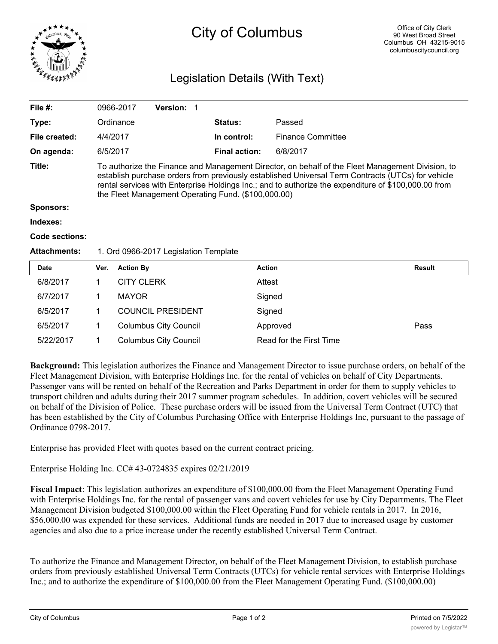

## City of Columbus

## Legislation Details (With Text)

| File $#$ :          | 0966-2017                                                                                                                                                                                                                                                                                                                                                            | <b>Version: 1</b> |  |                      |                          |  |  |  |
|---------------------|----------------------------------------------------------------------------------------------------------------------------------------------------------------------------------------------------------------------------------------------------------------------------------------------------------------------------------------------------------------------|-------------------|--|----------------------|--------------------------|--|--|--|
| Type:               | Ordinance                                                                                                                                                                                                                                                                                                                                                            |                   |  | <b>Status:</b>       | Passed                   |  |  |  |
| File created:       | 4/4/2017                                                                                                                                                                                                                                                                                                                                                             |                   |  | In control:          | <b>Finance Committee</b> |  |  |  |
| On agenda:          | 6/5/2017                                                                                                                                                                                                                                                                                                                                                             |                   |  | <b>Final action:</b> | 6/8/2017                 |  |  |  |
| Title:              | To authorize the Finance and Management Director, on behalf of the Fleet Management Division, to<br>establish purchase orders from previously established Universal Term Contracts (UTCs) for vehicle<br>rental services with Enterprise Holdings Inc.; and to authorize the expenditure of \$100,000.00 from<br>the Fleet Management Operating Fund. (\$100,000.00) |                   |  |                      |                          |  |  |  |
| <b>Sponsors:</b>    |                                                                                                                                                                                                                                                                                                                                                                      |                   |  |                      |                          |  |  |  |
| Indexes:            |                                                                                                                                                                                                                                                                                                                                                                      |                   |  |                      |                          |  |  |  |
| Code sections:      |                                                                                                                                                                                                                                                                                                                                                                      |                   |  |                      |                          |  |  |  |
| <b>Attachments:</b> | 1. Ord 0966-2017 Legislation Template                                                                                                                                                                                                                                                                                                                                |                   |  |                      |                          |  |  |  |
|                     | .                                                                                                                                                                                                                                                                                                                                                                    |                   |  |                      |                          |  |  |  |

| <b>Date</b> | Ver. | <b>Action By</b>             | <b>Action</b>           | Result |
|-------------|------|------------------------------|-------------------------|--------|
| 6/8/2017    |      | <b>CITY CLERK</b>            | Attest                  |        |
| 6/7/2017    |      | <b>MAYOR</b>                 | Signed                  |        |
| 6/5/2017    |      | <b>COUNCIL PRESIDENT</b>     | Signed                  |        |
| 6/5/2017    |      | <b>Columbus City Council</b> | Approved                | Pass   |
| 5/22/2017   |      | <b>Columbus City Council</b> | Read for the First Time |        |

**Background:** This legislation authorizes the Finance and Management Director to issue purchase orders, on behalf of the Fleet Management Division, with Enterprise Holdings Inc. for the rental of vehicles on behalf of City Departments. Passenger vans will be rented on behalf of the Recreation and Parks Department in order for them to supply vehicles to transport children and adults during their 2017 summer program schedules. In addition, covert vehicles will be secured on behalf of the Division of Police. These purchase orders will be issued from the Universal Term Contract (UTC) that has been established by the City of Columbus Purchasing Office with Enterprise Holdings Inc, pursuant to the passage of Ordinance 0798-2017.

Enterprise has provided Fleet with quotes based on the current contract pricing.

Enterprise Holding Inc. CC# 43-0724835 expires 02/21/2019

**Fiscal Impact**: This legislation authorizes an expenditure of \$100,000.00 from the Fleet Management Operating Fund with Enterprise Holdings Inc. for the rental of passenger vans and covert vehicles for use by City Departments. The Fleet Management Division budgeted \$100,000.00 within the Fleet Operating Fund for vehicle rentals in 2017. In 2016, \$56,000.00 was expended for these services. Additional funds are needed in 2017 due to increased usage by customer agencies and also due to a price increase under the recently established Universal Term Contract.

To authorize the Finance and Management Director, on behalf of the Fleet Management Division, to establish purchase orders from previously established Universal Term Contracts (UTCs) for vehicle rental services with Enterprise Holdings Inc.; and to authorize the expenditure of \$100,000.00 from the Fleet Management Operating Fund. (\$100,000.00)